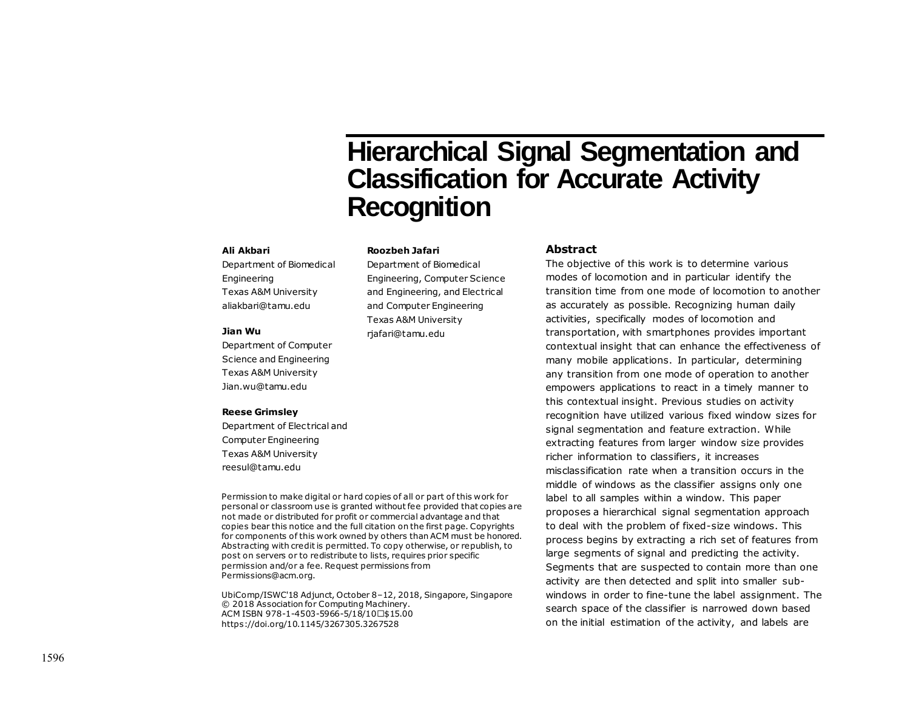# **Hierarchical Signal Segmentation and Classification for Accurate Activity Recognition**

#### **Ali Akbari**

Department of Biomedical Engineering Texas A&M University aliakbari@tamu.edu

#### **Jian Wu**

Department of Computer Science and Engineering Texas A&M University Jian.wu@tamu.edu

#### **Reese Grimsley**

Department of Electrical and Computer Engineering Texas A&M University reesul@tamu.edu

Permission to make digital or hard copies of all or part of this work for personal or classroom use is granted without fee provided that copies are not made or distributed for profit or commercial advantage and that copies bear this notice and the full citation on the first page. Copyrights for components of this work owned by others than ACM must be honored. Abstracting with credit is permitted. To copy otherwise, or republish, to post on servers or to redistribute to lists, requires prior specific permission and/or a fee. Request permissions from Permissions@acm.org.

**Roozbeh Jafari**

Department of Biomedical Engineering, Computer Science and Engineering, and Electrical and Computer Engineering Texas A&M University rjafari@tamu.edu

UbiComp/ISWC'18 Adjunct, October 8–12, 2018, Singapore, Singapore © 2018 Association for Computing Machinery. ACM ISBN 978-1-4503-5966-5/18/10…\$15.00 https://doi.org/10.1145/3267305.3267528

# **Abstract**

The objective of this work is to determine various modes of locomotion and in particular identify the transition time from one mode of locomotion to another as accurately as possible. Recognizing human daily activities, specifically modes of locomotion and transportation, with smartphones provides important contextual insight that can enhance the effectiveness of many mobile applications. In particular, determining any transition from one mode of operation to another empowers applications to react in a timely manner to this contextual insight. Previous studies on activity recognition have utilized various fixed window sizes for signal segmentation and feature extraction. While extracting features from larger window size provides richer information to classifiers, it increases misclassification rate when a transition occurs in the middle of windows as the classifier assigns only one label to all samples within a window. This paper proposes a hierarchical signal segmentation approach to deal with the problem of fixed-size windows. This process begins by extracting a rich set of features from large segments of signal and predicting the activity. Segments that are suspected to contain more than one activity are then detected and split into smaller subwindows in order to fine-tune the label assignment. The search space of the classifier is narrowed down based on the initial estimation of the activity, and labels are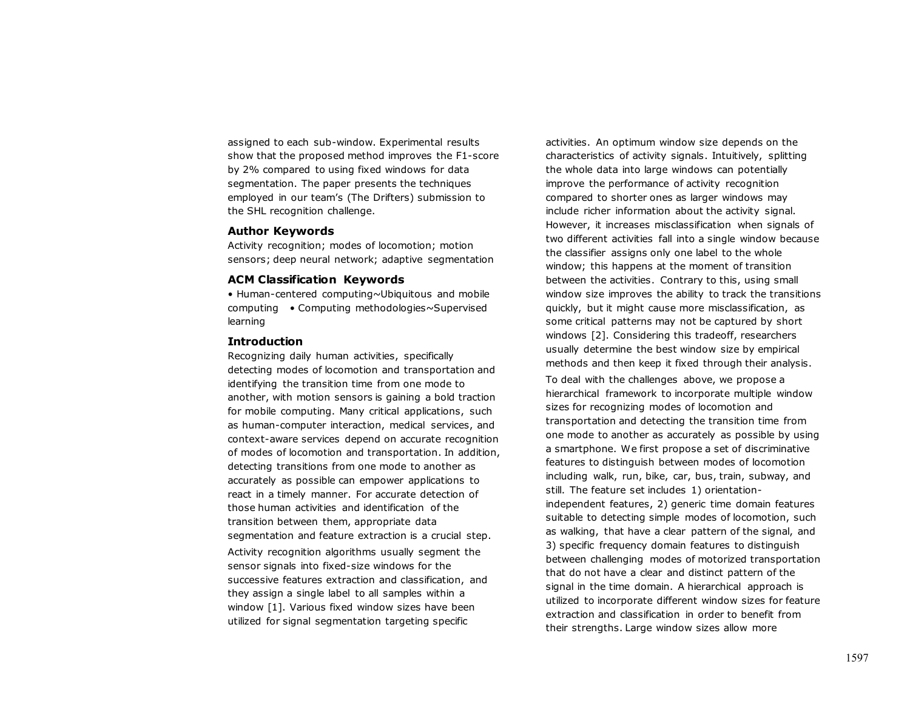assigned to each sub-window. Experimental results show that the proposed method improves the F1-score by 2% compared to using fixed windows for data segmentation. The paper presents the techniques employed in our team's (The Drifters) submission to the SHL recognition challenge.

#### **Author Keywords**

Activity recognition; modes of locomotion; motion sensors; deep neural network; adaptive segmentation

# **ACM Classification Keywords**

• Human-centered computing~Ubiquitous and mobile computing • Computing methodologies~Supervised learning

# **Introduction**

Recognizing daily human activities, specifically detecting modes of locomotion and transportation and identifying the transition time from one mode to another, with motion sensors is gaining a bold traction for mobile computing. Many critical applications, such as human-computer interaction, medical services, and context-aware services depend on accurate recognition of modes of locomotion and transportation. In addition, detecting transitions from one mode to another as accurately as possible can empower applications to react in a timely manner. For accurate detection of those human activities and identification of the transition between them, appropriate data segmentation and feature extraction is a crucial step.

Activity recognition algorithms usually segment the sensor signals into fixed-size windows for the successive features extraction and classification, and they assign a single label to all samples within a window [1]. Various fixed window sizes have been utilized for signal segmentation targeting specific

activities. An optimum window size depends on the characteristics of activity signals. Intuitively, splitting the whole data into large windows can potentially improve the performance of activity recognition compared to shorter ones as larger windows may include richer information about the activity signal. However, it increases misclassification when signals of two different activities fall into a single window because the classifier assigns only one label to the whole window; this happens at the moment of transition between the activities. Contrary to this, using small window size improves the ability to track the transitions quickly, but it might cause more misclassification, as some critical patterns may not be captured by short windows [2]. Considering this tradeoff, researchers usually determine the best window size by empirical methods and then keep it fixed through their analysis.

To deal with the challenges above, we propose a hierarchical framework to incorporate multiple window sizes for recognizing modes of locomotion and transportation and detecting the transition time from one mode to another as accurately as possible by using a smartphone. We first propose a set of discriminative features to distinguish between modes of locomotion including walk, run, bike, car, bus, train, subway, and still. The feature set includes 1) orientationindependent features, 2) generic time domain features suitable to detecting simple modes of locomotion, such as walking, that have a clear pattern of the signal, and 3) specific frequency domain features to distinguish between challenging modes of motorized transportation that do not have a clear and distinct pattern of the signal in the time domain. A hierarchical approach is utilized to incorporate different window sizes for feature extraction and classification in order to benefit from their strengths. Large window sizes allow more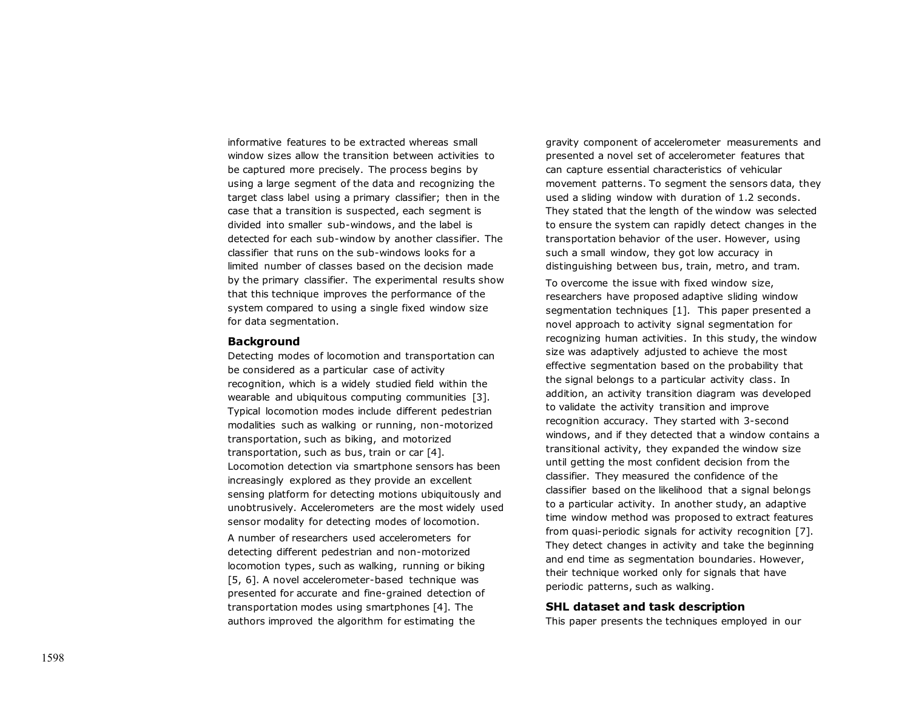informative features to be extracted whereas small window size s allow the transition between activities to be captured more precisely. The process begins by using a large segment of the data and recognizing the target class label using a primary classifier; then in the case that a transition is suspected, each segment is divided into smaller sub -windows, and the label is detected for each sub -window by another classifier. The classifier that runs on the sub -windows looks for a limited number of classes based on the decision made by the primary classifier. The experimental results show that this technique improves the performance of the system compared to using a single fixed window size for data segmentation.

# **Background**

Detecting modes of locomotion and transportation can be considered as a particular case of activity recognition, which is a widely studied field within the wearable and ubiquitous computing communities [3]. Typical locomotion modes include different pedestrian modalities such as walking or running, non -motorized transportation, such as biking, and motorized transportation, such as bus, train or car [4]. Locomotion detection via smartphone sensors has been increasingly explored as they provide an excellent sensing platform for detecting motions ubiquitously and unobtrusively. Accelerometers are the most widely used sensor modality for detecting modes of locomotion.

A number of researchers used accelerometers for detecting different pedestrian and non -motorized locomotion types, such as walking, running or biking [5, 6]. A novel accelerometer -based technique was presented for accurate and fine -grained detection of transportation modes using smartphones [4]. The authors improved the algorithm for estimating the

gravity component of accelerometer measurements and presented a novel set of accelerometer features that can capture essential characteristics of vehicular movement patterns. To segment the sensors data, they used a sliding window with duration of 1.2 seconds. They stated that the length of the window was selected to ensure the system can rapidly detect changes in the transportation behavior of the user. However, using such a small window, they got low accuracy in distinguishing between bus, train, metro, and tram. To overcome the issue with fixed window size, researchers have proposed adaptive sliding window segmentation techniques [1]. This paper presented a novel approach to activity signal segmentation for recognizing human activities. In this study, the window size was adaptively adjusted to achieve the most effective segmentation based on the probability that the signal belongs to a particular activity class. In addition, an activity transition diagram was developed to validate the activity transition and improve recognition accuracy. They started with 3 -second windows, and if they detected that a window contains a transitional activity, they expanded the window size until getting the most confident decision from the classifier. They measured the confidence of the classifier based on the likelihood that a signal belongs to a particular activity. In another study, an adaptive time window method was proposed to extract features from quasi -periodic signals for activity recognition [ 7]. They detect changes in activity and take the beginning and end time as segmentation boundaries. However, their technique worked only for signals that have periodic patterns, such as walking.

# **SHL dataset and task description**

This paper presents the techniques employed in our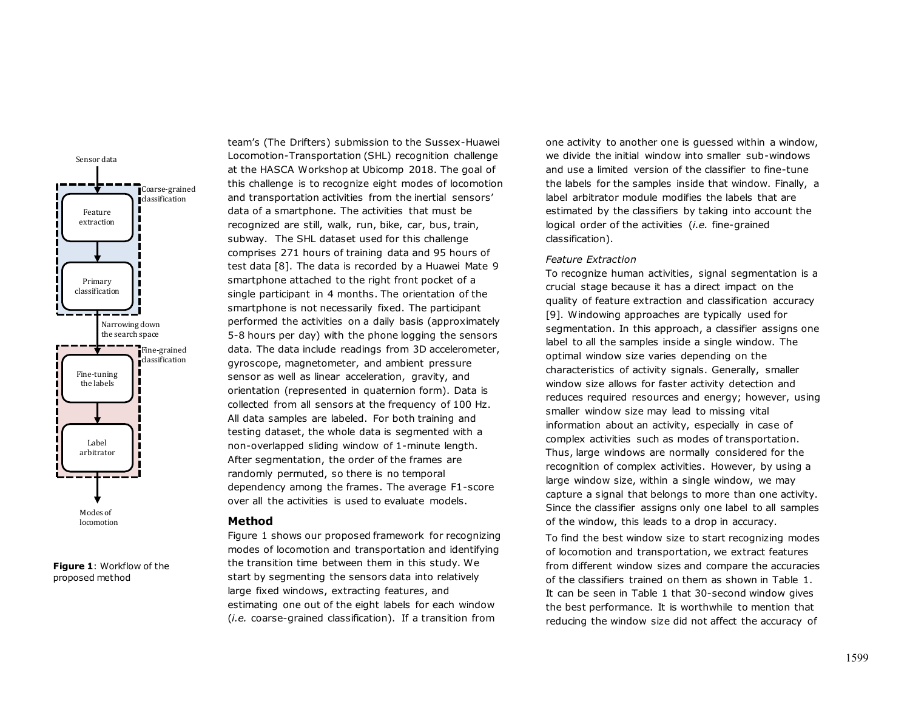

**Figure 1**: Workflow of the proposed method

team's (The Drifters) submission to the Sussex-Huawei Locomotion-Transportation (SHL) recognition challenge at the HASCA Workshop at Ubicomp 2018. The goal of this challenge is to recognize eight modes of locomotion and transportation activities from the inertial sensors' data of a smartphone. The activities that must be recognized are still, walk, run, bike, car, bus, train, subway. The SHL dataset used for this challenge comprises 271 hours of training data and 95 hours of test data [8]. The data is recorded by a Huawei Mate 9 smartphone attached to the right front pocket of a single participant in 4 months. The orientation of the smartphone is not necessarily fixed. The participant performed the activities on a daily basis (approximately 5-8 hours per day) with the phone logging the sensors data. The data include readings from 3D accelerometer, gyroscope, magnetometer, and ambient pressure sensor as well as linear acceleration, gravity, and orientation (represented in quaternion form). Data is collected from all sensors at the frequency of 100 Hz. All data samples are labeled. For both training and testing dataset, the whole data is segmented with a non-overlapped sliding window of 1-minute length. After segmentation, the order of the frames are randomly permuted, so there is no temporal dependency among the frames. The average F1-score over all the activities is used to evaluate models.

# **Method**

Figure 1 shows our proposed framework for recognizing modes of locomotion and transportation and identifying the transition time between them in this study. We start by segmenting the sensors data into relatively large fixed windows, extracting features, and estimating one out of the eight labels for each window (*i.e.* coarse-grained classification). If a transition from

one activity to another one is guessed within a window, we divide the initial window into smaller sub-windows and use a limited version of the classifier to fine-tune the labels for the samples inside that window. Finally, a label arbitrator module modifies the labels that are estimated by the classifiers by taking into account the logical order of the activities (*i.e.* fine-grained classification).

# *Feature Extraction*

To recognize human activities, signal segmentation is a crucial stage because it has a direct impact on the quality of feature extraction and classification accuracy [9]. Windowing approaches are typically used for segmentation. In this approach, a classifier assigns one label to all the samples inside a single window. The optimal window size varies depending on the characteristics of activity signals. Generally, smaller window size allows for faster activity detection and reduces required resources and energy; however, using smaller window size may lead to missing vital information about an activity, especially in case of complex activities such as modes of transportation. Thus, large windows are normally considered for the recognition of complex activities. However, by using a large window size, within a single window, we may capture a signal that belongs to more than one activity. Since the classifier assigns only one label to all samples of the window, this leads to a drop in accuracy.

To find the best window size to start recognizing modes of locomotion and transportation, we extract features from different window sizes and compare the accuracies of the classifiers trained on them as shown in Table 1. It can be seen in Table 1 that 30-second window gives the best performance. It is worthwhile to mention that reducing the window size did not affect the accuracy of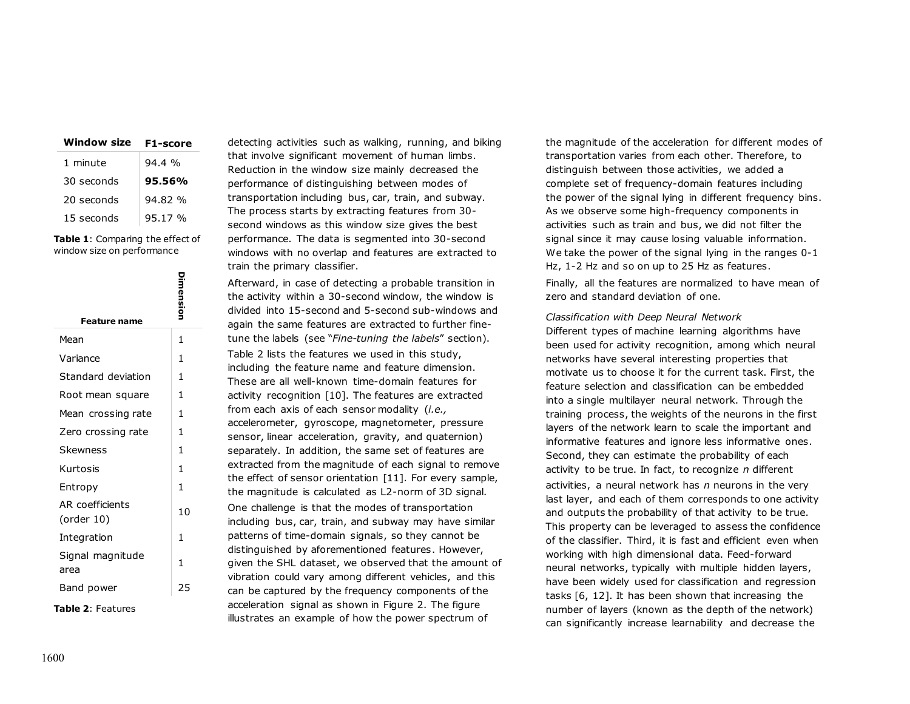| Window size | F1-score |  |  |  |
|-------------|----------|--|--|--|
| 1 minute    | 94.4%    |  |  |  |
| 30 seconds  | 95.56%   |  |  |  |
| 20 seconds  | 94.82 %  |  |  |  |
| 15 seconds  | 95.17 %  |  |  |  |

**Table 1**: Comparing the effect of window size on performance

모.

|                                     | Dimension |
|-------------------------------------|-----------|
| <b>Feature name</b>                 |           |
| Mean                                | 1         |
| Variance                            | 1         |
| Standard deviation                  | 1         |
| Root mean square                    | 1         |
| Mean crossing rate                  | 1         |
| Zero crossing rate                  | 1         |
| Skewness                            | 1         |
| Kurtosis                            | 1         |
| Entropy                             | 1         |
| AR coefficients<br>$($ order 10 $)$ | 10        |
| Integration                         | 1         |
| Signal magnitude<br>area            | 1         |
| Band power                          | 25        |
| Table 2: Features                   |           |

detecting activities such as walking, running, and biking that involve significant movement of human limbs. Reduction in the window size mainly decreased the performance of distinguishing between modes of transportation including bus, car, train, and subway. The process starts by extracting features from 30 second windows as this window size gives the best performance. The data is segmented into 30-second windows with no overlap and features are extracted to train the primary classifier.

Afterward, in case of detecting a probable transition in the activity within a 30-second window, the window is divided into 15-second and 5-second sub-windows and again the same features are extracted to further finetune the labels (see "*Fine-tuning the labels*" section). Table 2 lists the features we used in this study, including the feature name and feature dimension. These are all well-known time-domain features for activity recognition [10]. The features are extracted from each axis of each sensor modality (*i.e.,*  accelerometer, gyroscope, magnetometer, pressure sensor, linear acceleration, gravity, and quaternion) separately. In addition, the same set of features are extracted from the magnitude of each signal to remove the effect of sensor orientation [11]. For every sample, the magnitude is calculated as L2-norm of 3D signal. One challenge is that the modes of transportation including bus, car, train, and subway may have similar patterns of time-domain signals, so they cannot be distinguished by aforementioned features. However, given the SHL dataset, we observed that the amount of vibration could vary among different vehicles, and this can be captured by the frequency components of the acceleration signal as shown in Figure 2. The figure illustrates an example of how the power spectrum of

the magnitude of the acceleration for different modes of transportation varies from each other. Therefore, to distinguish between those activities, we added a complete set of frequency-domain features including the power of the signal lying in different frequency bins. As we observe some high-frequency components in activities such as train and bus, we did not filter the signal since it may cause losing valuable information. We take the power of the signal lying in the ranges 0-1 Hz, 1-2 Hz and so on up to 25 Hz as features. Finally, all the features are normalized to have mean of

zero and standard deviation of one.

*Classification with Deep Neural Network*

Different types of machine learning algorithms have been used for activity recognition, among which neural networks have several interesting properties that motivate us to choose it for the current task. First, the feature selection and classification can be embedded into a single multilayer neural network. Through the training process, the weights of the neurons in the first layers of the network learn to scale the important and informative features and ignore less informative ones. Second, they can estimate the probability of each activity to be true. In fact, to recognize *n* different activities, a neural network has *n* neurons in the very last layer, and each of them corresponds to one activity and outputs the probability of that activity to be true. This property can be leveraged to assess the confidence of the classifier. Third, it is fast and efficient even when working with high dimensional data. Feed-forward neural networks, typically with multiple hidden layers, have been widely used for classification and regression tasks [6, 12]. It has been shown that increasing the number of layers (known as the depth of the network) can significantly increase learnability and decrease the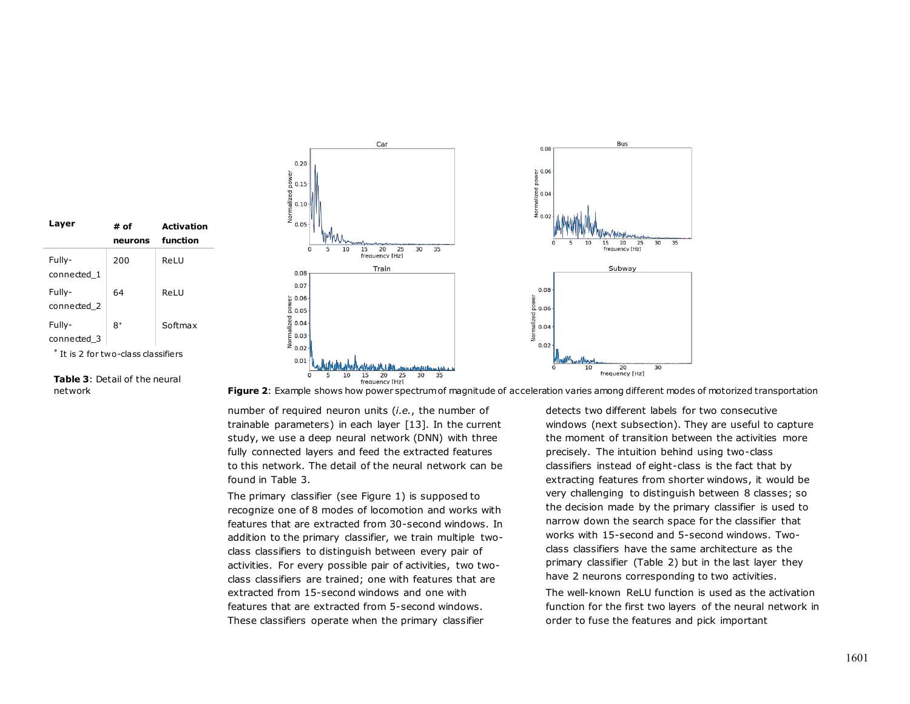

# **Table 3**: Detail of the neural

network



**Figure 2**: Example shows how power spectrum of magnitude of acceleration varies among different modes of motorized transportation

number of required neuron units (*i.e.*, the number of trainable parameters) in each layer [13]. In the current study, we use a deep neural network (DNN) with three fully connected layers and feed the extracted features to this network. The detail of the neural network can be found in Table 3.

The primary classifier (see Figure 1) is supposed to recognize one of 8 modes of locomotion and works with features that are extracted from 30-second windows. In addition to the primary classifier, we train multiple twoclass classifiers to distinguish between every pair of activities. For every possible pair of activities, two twoclass classifiers are trained; one with features that are extracted from 15-second windows and one with features that are extracted from 5-second windows. These classifiers operate when the primary classifier

detects two different labels for two consecutive windows (next subsection). They are useful to capture the moment of transition between the activities more precisely. The intuition behind using two-class classifiers instead of eight-class is the fact that by extracting features from shorter windows, it would be very challenging to distinguish between 8 classes; so the decision made by the primary classifier is used to narrow down the search space for the classifier that works with 15-second and 5-second windows. Twoclass classifiers have the same architecture as the primary classifier (Table 2) but in the last layer they have 2 neurons corresponding to two activities.

The well-known ReLU function is used as the activation function for the first two layers of the neural network in order to fuse the features and pick important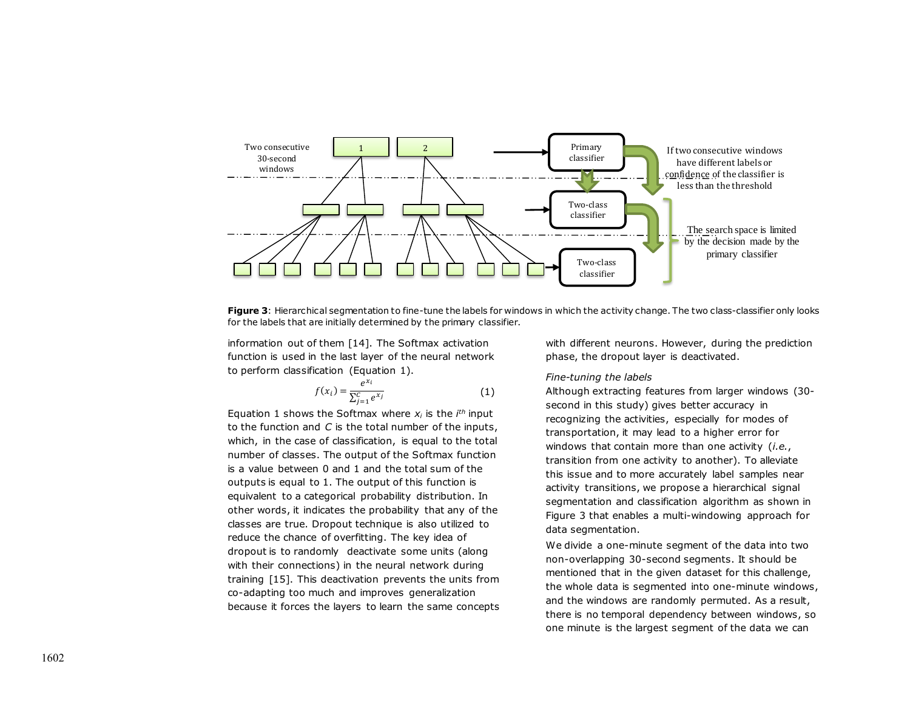

**Figure 3**: Hierarchical segmentation to fine-tune the labels for windows in which the activity change. The two class-classifier only looks for the labels that are initially determined by the primary classifier.

information out of them [14]. The Softmax activation function is used in the last layer of the neural network to perform classification (Equation 1).

$$
f(x_i) = \frac{e^{x_i}}{\sum_{j=1}^{C} e^{x_j}}
$$
 (1)

Equation 1 shows the Softmax where  $x_i$  is the  $i$ <sup>th</sup> input to the function and *C* is the total number of the inputs, which, in the case of classification, is equal to the total number of classes. The output of the Softmax function is a value between 0 and 1 and the total sum of the outputs is equal to 1. The output of this function is equivalent to a categorical probability distribution. In other words, it indicates the probability that any of the classes are true. Dropout technique is also utilized to reduce the chance of overfitting. The key idea of dropout is to randomly deactivate some units (along with their connections) in the neural network during training [15]. This deactivation prevents the units from co-adapting too much and improves generalization because it forces the layers to learn the same concepts

with different neurons. However, during the prediction phase, the dropout layer is deactivated.

#### *Fine-tuning the labels*

Although extracting features from larger windows (30 second in this study) gives better accuracy in recognizing the activities, especially for modes of transportation, it may lead to a higher error for windows that contain more than one activity (*i.e.*, transition from one activity to another). To alleviate this issue and to more accurately label samples near activity transitions, we propose a hierarchical signal segmentation and classification algorithm as shown in Figure 3 that enables a multi-windowing approach for data segmentation.

We divide a one-minute segment of the data into two non-overlapping 30-second segments. It should be mentioned that in the given dataset for this challenge, the whole data is segmented into one-minute windows, and the windows are randomly permuted. As a result, there is no temporal dependency between windows, so one minute is the largest segment of the data we can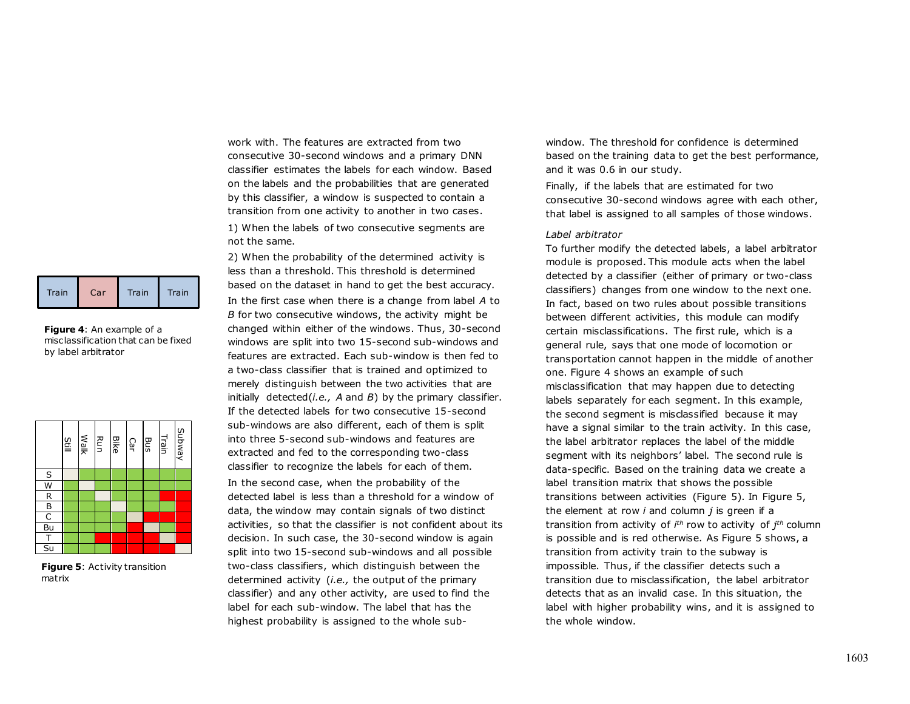work with. The features are extracted from two consecutive 30-second windows and a primary DNN classifier estimates the labels for each window. Based on the labels and the probabilities that are generated by this classifier, a window is suspected to contain a transition from one activity to another in two cases.

1) When the labels of two consecutive segments are not the same.

| Train<br>Car | Train | Train |
|--------------|-------|-------|
|--------------|-------|-------|

**Figure 4**: An example of a misclassification that can be fixed by label arbitrator

|                   | Still | Walk | Run | Bike | Сāг | Bus | Train | Aemqns |
|-------------------|-------|------|-----|------|-----|-----|-------|--------|
| $rac{S}{W}$       |       |      |     |      |     |     |       |        |
|                   |       |      |     |      |     |     |       |        |
| $\overline{R}$    |       |      |     |      |     |     |       |        |
|                   |       |      |     |      |     |     |       |        |
|                   |       |      |     |      |     |     |       |        |
| $rac{B}{C}$<br>Bu |       |      |     |      |     |     |       |        |
|                   |       |      |     |      |     |     |       |        |
| Su                |       |      |     |      |     |     |       |        |

**Figure 5**: Activity transition matrix

2) When the probability of the determined activity is less than a threshold. This threshold is determined based on the dataset in hand to get the best accuracy. In the first case when there is a change from label *A* to *B* for two consecutive windows, the activity might be changed within either of the windows. Thus, 30-second windows are split into two 15-second sub-windows and features are extracted. Each sub-window is then fed to a two-class classifier that is trained and optimized to merely distinguish between the two activities that are initially detected(*i.e., A* and *B*) by the primary classifier. If the detected labels for two consecutive 15-second sub-windows are also different, each of them is split into three 5-second sub-windows and features are extracted and fed to the corresponding two-class classifier to recognize the labels for each of them.

In the second case, when the probability of the detected label is less than a threshold for a window of data, the window may contain signals of two distinct activities, so that the classifier is not confident about its decision. In such case, the 30-second window is again split into two 15-second sub-windows and all possible two-class classifiers, which distinguish between the determined activity (*i.e.,* the output of the primary classifier) and any other activity, are used to find the label for each sub-window. The label that has the highest probability is assigned to the whole subwindow. The threshold for confidence is determined based on the training data to get the best performance, and it was 0.6 in our study.

Finally, if the labels that are estimated for two consecutive 30-second windows agree with each other, that label is assigned to all samples of those windows.

# *Label arbitrator*

To further modify the detected labels, a label arbitrator module is proposed. This module acts when the label detected by a classifier (either of primary or two-class classifiers) changes from one window to the next one. In fact, based on two rules about possible transitions between different activities, this module can modify certain misclassifications. The first rule, which is a general rule, says that one mode of locomotion or transportation cannot happen in the middle of another one. Figure 4 shows an example of such misclassification that may happen due to detecting labels separately for each segment. In this example, the second segment is misclassified because it may have a signal similar to the train activity. In this case, the label arbitrator replaces the label of the middle segment with its neighbors' label. The second rule is data-specific. Based on the training data we create a label transition matrix that shows the possible transitions between activities (Figure 5). In Figure 5, the element at row *i* and column *j* is green if a transition from activity of *i th* row to activity of *j th* column is possible and is red otherwise. As Figure 5 shows, a transition from activity train to the subway is impossible. Thus, if the classifier detects such a transition due to misclassification, the label arbitrator detects that as an invalid case. In this situation, the label with higher probability wins, and it is assigned to the whole window.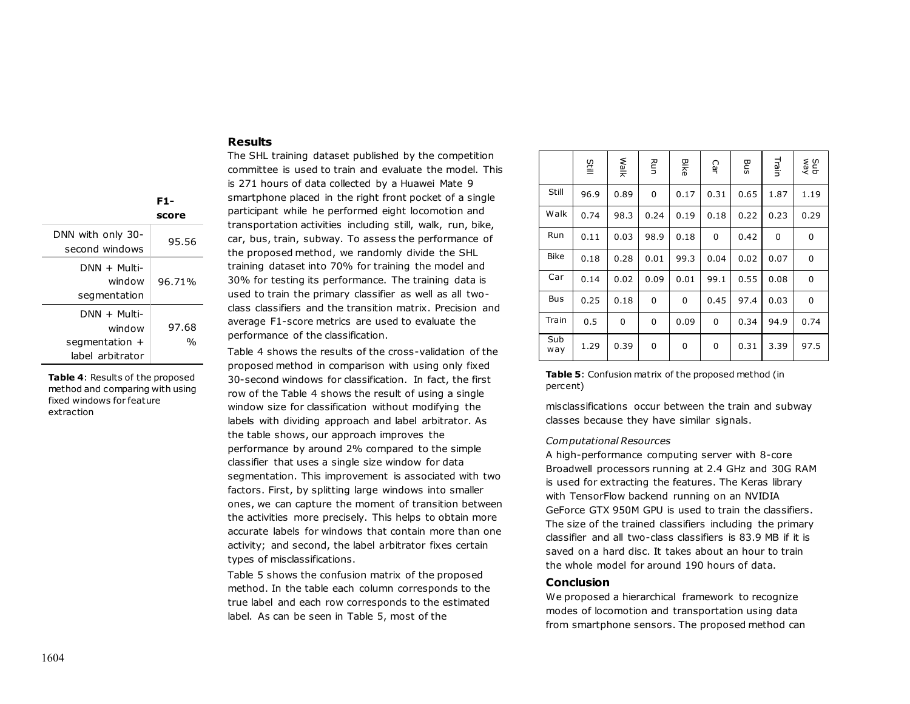|                                                                | F1-<br>score |
|----------------------------------------------------------------|--------------|
| DNN with only 30-<br>second windows                            | 95.56        |
| $DNN + Multi-$<br>window<br>segmentation                       | 96.71%       |
| $DNN + Multi-$<br>window<br>segmentation +<br>label arbitrator | 97.68<br>%   |

**Table 4**: Results of the proposed method and comparing with using fixed windows for feature extraction

# **Results**

The SHL training dataset published by the competition committee is used to train and evaluate the model. This is 271 hours of data collected by a Huawei Mate 9 smartphone placed in the right front pocket of a single participant while he performed eight locomotion and transportation activities including still, walk, run, bike, car, bus, train, subway. To assess the performance of the proposed method, we randomly divide the SHL training dataset into 70% for training the model and 30% for testing its performance. The training data is used to train the primary classifier as well as all twoclass classifiers and the transition matrix. Precision and average F1-score metrics are used to evaluate the performance of the classification.

Table 4 shows the results of the cross-validation of the proposed method in comparison with using only fixed 30-second windows for classification. In fact, the first row of the Table 4 shows the result of using a single window size for classification without modifying the labels with dividing approach and label arbitrator. As the table shows, our approach improves the performance by around 2% compared to the simple classifier that uses a single size window for data segmentation. This improvement is associated with two factors. First, by splitting large windows into smaller ones, we can capture the moment of transition between the activities more precisely. This helps to obtain more accurate labels for windows that contain more than one activity; and second, the label arbitrator fixes certain types of misclassifications.

Table 5 shows the confusion matrix of the proposed method. In the table each column corresponds to the true label and each row corresponds to the estimated label. As can be seen in Table 5, most of the

|             | Still | Walk | Run      | Bike | Ğ    | Bus  | Train | Sub<br>Nay |
|-------------|-------|------|----------|------|------|------|-------|------------|
| Still       | 96.9  | 0.89 | $\Omega$ | 0.17 | 0.31 | 0.65 | 1.87  | 1.19       |
| Walk        | 0.74  | 98.3 | 0.24     | 0.19 | 0.18 | 0.22 | 0.23  | 0.29       |
| Run         | 0.11  | 0.03 | 98.9     | 0.18 | 0    | 0.42 | 0     | 0          |
| <b>Bike</b> | 0.18  | 0.28 | 0.01     | 99.3 | 0.04 | 0.02 | 0.07  | 0          |
| Car         | 0.14  | 0.02 | 0.09     | 0.01 | 99.1 | 0.55 | 0.08  | $\Omega$   |
| Bus         | 0.25  | 0.18 | 0        | 0    | 0.45 | 97.4 | 0.03  | 0          |
| Train       | 0.5   | 0    | 0        | 0.09 | 0    | 0.34 | 94.9  | 0.74       |
| Sub<br>way  | 1.29  | 0.39 | 0        | 0    | 0    | 0.31 | 3.39  | 97.5       |

**Table 5**: Confusion matrix of the proposed method (in percent)

misclassifications occur between the train and subway classes because they have similar signals.

# *Computational Resources*

A high-performance computing server with 8-core Broadwell processors running at 2.4 GHz and 30G RAM is used for extracting the features. The Keras library with TensorFlow backend running on an NVIDIA GeForce GTX 950M GPU is used to train the classifiers. The size of the trained classifiers including the primary classifier and all two-class classifiers is 83.9 MB if it is saved on a hard disc. It takes about an hour to train the whole model for around 190 hours of data.

# **Conclusion**

We proposed a hierarchical framework to recognize modes of locomotion and transportation using data from smartphone sensors. The proposed method can